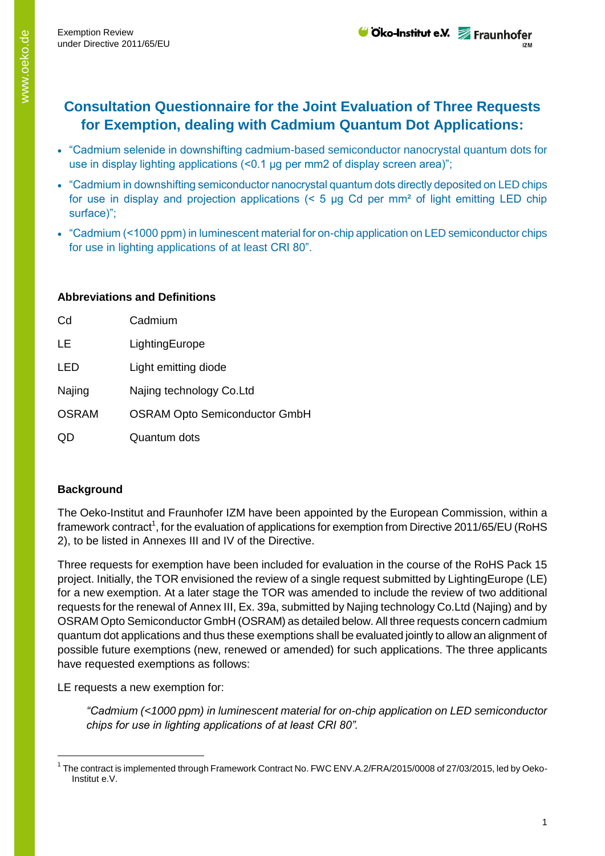- "Cadmium selenide in downshifting cadmium-based semiconductor nanocrystal quantum dots for use in display lighting applications (<0.1 μg per mm2 of display screen area)";
- "Cadmium in downshifting semiconductor nanocrystal quantum dots directly deposited on LED chips for use in display and projection applications  $(5 \text{ µg Cd per mm}^2 \text{ of light emitting LED chip})$ surface)";
- "Cadmium (<1000 ppm) in luminescent material for on-chip application on LED semiconductor chips for use in lighting applications of at least CRI 80".

## **Abbreviations and Definitions**

| Cd           | Cadmium                              |  |
|--------------|--------------------------------------|--|
| <b>LE</b>    | LightingEurope                       |  |
| LED          | Light emitting diode                 |  |
| Najing       | Najing technology Co.Ltd             |  |
| <b>OSRAM</b> | <b>OSRAM Opto Semiconductor GmbH</b> |  |
|              | Quantum dots                         |  |

## **Background**

-

The Oeko-Institut and Fraunhofer IZM have been appointed by the European Commission, within a framework contract<sup>1</sup>, for the evaluation of applications for exemption from Directive 2011/65/EU (RoHS 2), to be listed in Annexes III and IV of the Directive.

Three requests for exemption have been included for evaluation in the course of the RoHS Pack 15 project. Initially, the TOR envisioned the review of a single request submitted by LightingEurope (LE) for a new exemption. At a later stage the TOR was amended to include the review of two additional requests for the renewal of Annex III, Ex. 39a, submitted by Najing technology Co.Ltd (Najing) and by OSRAM Opto Semiconductor GmbH (OSRAM) as detailed below. All three requests concern cadmium quantum dot applications and thus these exemptions shall be evaluated jointly to allow an alignment of possible future exemptions (new, renewed or amended) for such applications. The three applicants have requested exemptions as follows:

LE requests a new exemption for:

*"Cadmium (<1000 ppm) in luminescent material for on-chip application on LED semiconductor chips for use in lighting applications of at least CRI 80".*

<sup>&</sup>lt;sup>1</sup> The contract is implemented through Framework Contract No. FWC ENV.A.2/FRA/2015/0008 of 27/03/2015, led by Oeko-Institut e.V.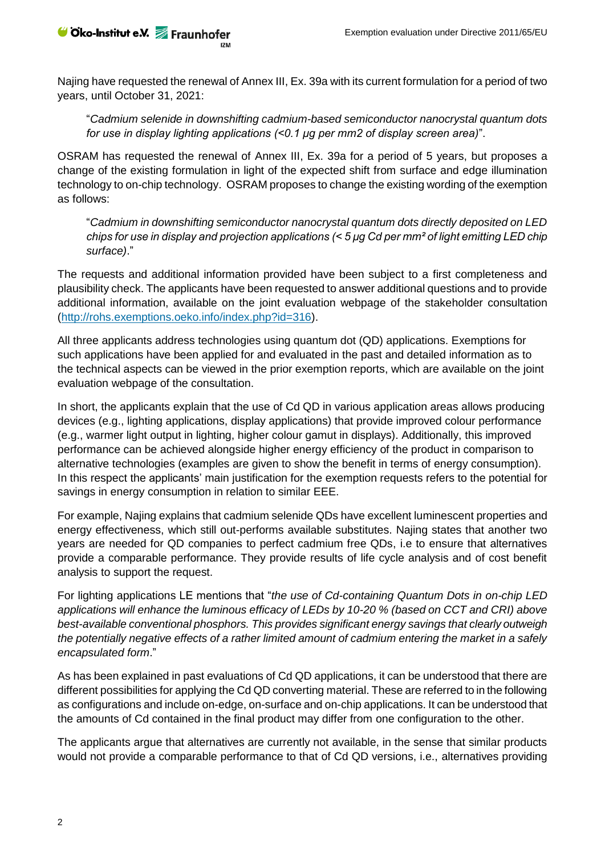Najing have requested the renewal of Annex III, Ex. 39a with its current formulation for a period of two years, until October 31, 2021:

"*Cadmium selenide in downshifting cadmium-based semiconductor nanocrystal quantum dots for use in display lighting applications (<0.1 μg per mm2 of display screen area)*".

OSRAM has requested the renewal of Annex III, Ex. 39a for a period of 5 years, but proposes a change of the existing formulation in light of the expected shift from surface and edge illumination technology to on-chip technology. OSRAM proposes to change the existing wording of the exemption as follows:

"*Cadmium in downshifting semiconductor nanocrystal quantum dots directly deposited on LED chips for use in display and projection applications (< 5 μg Cd per mm² of light emitting LED chip surface)*."

The requests and additional information provided have been subject to a first completeness and plausibility check. The applicants have been requested to answer additional questions and to provide additional information, available on the joint evaluation webpage of the stakeholder consultation [\(http://rohs.exemptions.oeko.info/index.php?id=316\)](http://rohs.exemptions.oeko.info/index.php?id=316).

All three applicants address technologies using quantum dot (QD) applications. Exemptions for such applications have been applied for and evaluated in the past and detailed information as to the technical aspects can be viewed in the prior exemption reports, which are available on the joint evaluation webpage of the consultation.

In short, the applicants explain that the use of Cd QD in various application areas allows producing devices (e.g., lighting applications, display applications) that provide improved colour performance (e.g., warmer light output in lighting, higher colour gamut in displays). Additionally, this improved performance can be achieved alongside higher energy efficiency of the product in comparison to alternative technologies (examples are given to show the benefit in terms of energy consumption). In this respect the applicants' main justification for the exemption requests refers to the potential for savings in energy consumption in relation to similar EEE.

For example, Najing explains that cadmium selenide QDs have excellent luminescent properties and energy effectiveness, which still out-performs available substitutes. Najing states that another two years are needed for QD companies to perfect cadmium free QDs, i.e to ensure that alternatives provide a comparable performance. They provide results of life cycle analysis and of cost benefit analysis to support the request.

For lighting applications LE mentions that "*the use of Cd-containing Quantum Dots in on-chip LED applications will enhance the luminous efficacy of LEDs by 10-20 % (based on CCT and CRI) above best-available conventional phosphors. This provides significant energy savings that clearly outweigh the potentially negative effects of a rather limited amount of cadmium entering the market in a safely encapsulated form*."

As has been explained in past evaluations of Cd QD applications, it can be understood that there are different possibilities for applying the Cd QD converting material. These are referred to in the following as configurations and include on-edge, on-surface and on-chip applications. It can be understood that the amounts of Cd contained in the final product may differ from one configuration to the other.

The applicants argue that alternatives are currently not available, in the sense that similar products would not provide a comparable performance to that of Cd QD versions, i.e., alternatives providing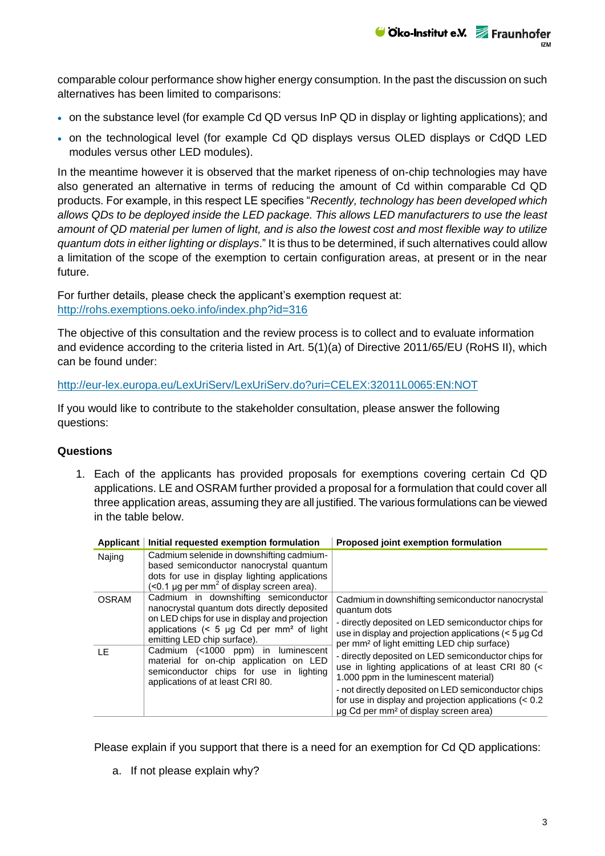comparable colour performance show higher energy consumption. In the past the discussion on such alternatives has been limited to comparisons:

- on the substance level (for example Cd QD versus InP QD in display or lighting applications); and
- on the technological level (for example Cd QD displays versus OLED displays or CdQD LED modules versus other LED modules).

In the meantime however it is observed that the market ripeness of on-chip technologies may have also generated an alternative in terms of reducing the amount of Cd within comparable Cd QD products. For example, in this respect LE specifies "*Recently, technology has been developed which allows QDs to be deployed inside the LED package. This allows LED manufacturers to use the least amount of QD material per lumen of light, and is also the lowest cost and most flexible way to utilize quantum dots in either lighting or displays*." It is thus to be determined, if such alternatives could allow a limitation of the scope of the exemption to certain configuration areas, at present or in the near future.

For further details, please check the applicant's exemption request at: <http://rohs.exemptions.oeko.info/index.php?id=316>

The objective of this consultation and the review process is to collect and to evaluate information and evidence according to the criteria listed in Art. 5(1)(a) of Directive 2011/65/EU (RoHS II), which can be found under:

<http://eur-lex.europa.eu/LexUriServ/LexUriServ.do?uri=CELEX:32011L0065:EN:NOT>

If you would like to contribute to the stakeholder consultation, please answer the following questions:

## **Questions**

1. Each of the applicants has provided proposals for exemptions covering certain Cd QD applications. LE and OSRAM further provided a proposal for a formulation that could cover all three application areas, assuming they are all justified. The various formulations can be viewed in the table below.

| Applicant    | Initial requested exemption formulation                                                                                                                                                                                                                                                                                                                                                                        | Proposed joint exemption formulation                                                                                                                                                                                                                                                                                       |
|--------------|----------------------------------------------------------------------------------------------------------------------------------------------------------------------------------------------------------------------------------------------------------------------------------------------------------------------------------------------------------------------------------------------------------------|----------------------------------------------------------------------------------------------------------------------------------------------------------------------------------------------------------------------------------------------------------------------------------------------------------------------------|
| Najing       | Cadmium selenide in downshifting cadmium-<br>based semiconductor nanocrystal quantum<br>dots for use in display lighting applications<br>$($ < 0.1 µg per mm <sup>2</sup> of display screen area).                                                                                                                                                                                                             |                                                                                                                                                                                                                                                                                                                            |
| <b>OSRAM</b> | Cadmium in downshifting semiconductor<br>nanocrystal quantum dots directly deposited<br>on LED chips for use in display and projection<br>applications $(5 \text{ µg} \text{ Cd per mm}^2 \text{ of light})$<br>emitting LED chip surface).<br>Cadmium (<1000 ppm) in<br>luminescent<br>material for on-chip application on LED<br>semiconductor chips for use in lighting<br>applications of at least CRI 80. | Cadmium in downshifting semiconductor nanocrystal<br>quantum dots<br>- directly deposited on LED semiconductor chips for<br>use in display and projection applications $(< 5 \mu g)$ Cd<br>per mm <sup>2</sup> of light emitting LED chip surface)                                                                         |
| LE           |                                                                                                                                                                                                                                                                                                                                                                                                                | - directly deposited on LED semiconductor chips for<br>use in lighting applications of at least CRI 80 (<<br>1.000 ppm in the luminescent material)<br>- not directly deposited on LED semiconductor chips<br>for use in display and projection applications $(< 0.2$<br>µg Cd per mm <sup>2</sup> of display screen area) |

Please explain if you support that there is a need for an exemption for Cd QD applications:

a. If not please explain why?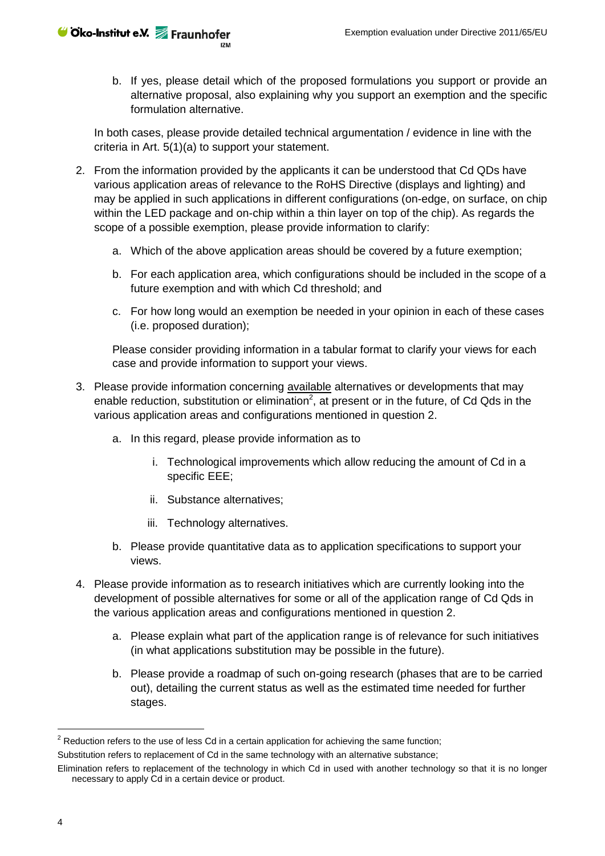b. If yes, please detail which of the proposed formulations you support or provide an alternative proposal, also explaining why you support an exemption and the specific formulation alternative.

In both cases, please provide detailed technical argumentation / evidence in line with the criteria in Art. 5(1)(a) to support your statement.

- <span id="page-3-0"></span>2. From the information provided by the applicants it can be understood that Cd QDs have various application areas of relevance to the RoHS Directive (displays and lighting) and may be applied in such applications in different configurations (on-edge, on surface, on chip within the LED package and on-chip within a thin layer on top of the chip). As regards the scope of a possible exemption, please provide information to clarify:
	- a. Which of the above application areas should be covered by a future exemption;
	- b. For each application area, which configurations should be included in the scope of a future exemption and with which Cd threshold; and
	- c. For how long would an exemption be needed in your opinion in each of these cases (i.e. proposed duration);

Please consider providing information in a tabular format to clarify your views for each case and provide information to support your views.

- 3. Please provide information concerning available alternatives or developments that may enable reduction, substitution or elimination<sup>2</sup>, at present or in the future, of Cd Qds in the various application areas and configurations mentioned in question [2.](#page-3-0)
	- a. In this regard, please provide information as to
		- i. Technological improvements which allow reducing the amount of Cd in a specific EEE;
		- ii. Substance alternatives;
		- iii. Technology alternatives.
	- b. Please provide quantitative data as to application specifications to support your views.
- 4. Please provide information as to research initiatives which are currently looking into the development of possible alternatives for some or all of the application range of Cd Qds in the various application areas and configurations mentioned in question [2.](#page-3-0)
	- a. Please explain what part of the application range is of relevance for such initiatives (in what applications substitution may be possible in the future).
	- b. Please provide a roadmap of such on-going research (phases that are to be carried out), detailing the current status as well as the estimated time needed for further stages.

-

 $2$  Reduction refers to the use of less Cd in a certain application for achieving the same function; Substitution refers to replacement of Cd in the same technology with an alternative substance;

Elimination refers to replacement of the technology in which Cd in used with another technology so that it is no longer

necessary to apply Cd in a certain device or product.